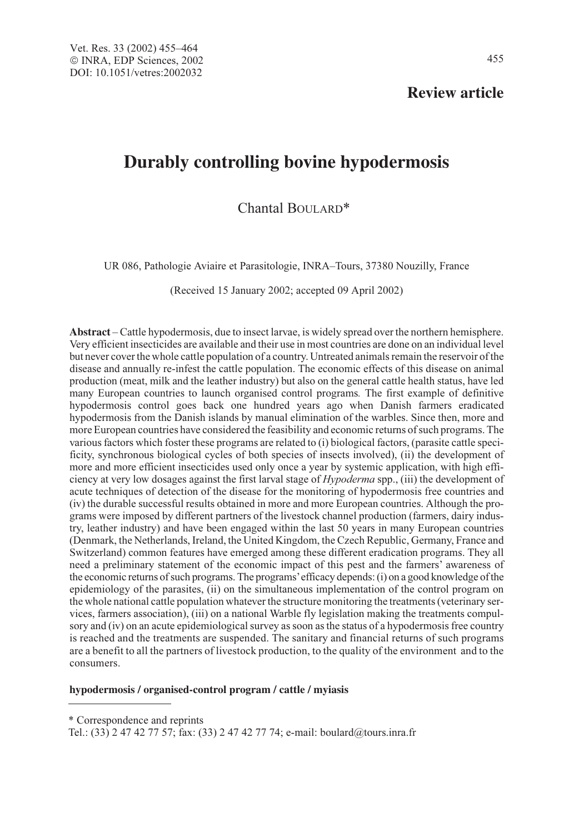**Review article**

# **Durably controlling bovine hypodermosis**

Chantal BOULARD\*

UR 086, Pathologie Aviaire et Parasitologie, INRA–Tours, 37380 Nouzilly, France

(Received 15 January 2002; accepted 09 April 2002)

**Abstract** – Cattle hypodermosis, due to insect larvae, is widely spread over the northern hemisphere. Very efficient insecticides are available and their use in most countries are done on an individual level but never cover the whole cattle population of a country. Untreated animals remain the reservoir of the disease and annually re-infest the cattle population. The economic effects of this disease on animal production (meat, milk and the leather industry) but also on the general cattle health status, have led many European countries to launch organised control programs. The first example of definitive hypodermosis control goes back one hundred years ago when Danish farmers eradicated hypodermosis from the Danish islands by manual elimination of the warbles. Since then, more and more European countries have considered the feasibility and economic returns of such programs. The various factors which foster these programs are related to (i) biological factors, (parasite cattle specificity, synchronous biological cycles of both species of insects involved), (ii) the development of more and more efficient insecticides used only once a year by systemic application, with high efficiency at very low dosages against the first larval stage of Hypoderma spp., (iii) the development of acute techniques of detection of the disease for the monitoring of hypodermosis free countries and (iv) the durable successful results obtained in more and more European countries. Although the programs were imposed by different partners of the livestock channel production (farmers, dairy industry, leather industry) and have been engaged within the last 50 years in many European countries (Denmark, the Netherlands, Ireland, the United Kingdom, the Czech Republic, Germany, France and Switzerland) common features have emerged among these different eradication programs. They all need a preliminary statement of the economic impact of this pest and the farmers' awareness of the economic returns of such programs. The programs'efficacy depends: (i) on a good knowledge of the epidemiology of the parasites, (ii) on the simultaneous implementation of the control program on the whole national cattle population whatever the structure monitoring the treatments (veterinary services, farmers association), (iii) on a national Warble fly legislation making the treatments compulsory and (iv) on an acute epidemiological survey as soon as the status of a hypodermosis free country is reached and the treatments are suspended. The sanitary and financial returns of such programs are a benefit to all the partners of livestock production, to the quality of the environment and to the consumers.

#### **hypodermosis / organised-control program / cattle / myiasis**

\* Correspondence and reprints

Tel.: (33) 2 47 42 77 57; fax: (33) 2 47 42 77 74; e-mail: boulard@tours.inra.fr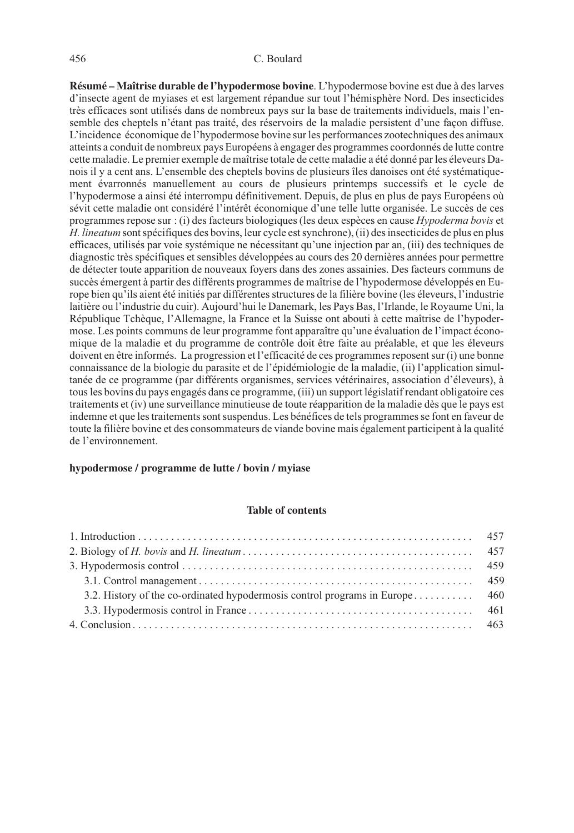### 456 C. Boulard

**Résumé – Maîtrise durable de l'hypodermose bovine**. L'hypodermose bovine est due à des larves d'insecte agent de myiases et est largement répandue sur tout l'hémisphère Nord. Des insecticides très efficaces sont utilisés dans de nombreux pays sur la base de traitements individuels, mais l'ensemble des cheptels n'étant pas traité, des réservoirs de la maladie persistent d'une façon diffuse. L'incidence économique de l'hypodermose bovine sur les performances zootechniques des animaux atteints a conduit de nombreux pays Européens à engager des programmes coordonnés de lutte contre cette maladie. Le premier exemple de maîtrise totale de cette maladie a été donné par les éleveurs Danois il y a cent ans. L'ensemble des cheptels bovins de plusieurs îles danoises ont été systématiquement évarronnés manuellement au cours de plusieurs printemps successifs et le cycle de l'hypodermose a ainsi été interrompu définitivement. Depuis, de plus en plus de pays Européens où sévit cette maladie ont considéré l'intérêt économique d'une telle lutte organisée. Le succès de ces programmes repose sur : (i) des facteurs biologiques (les deux espèces en cause Hypoderma bovis et H. lineatum sont spécifiques des bovins, leur cycle est synchrone), (ii) des insecticides de plus en plus efficaces, utilisés par voie systémique ne nécessitant qu'une injection par an, (iii) des techniques de diagnostic très spécifiques et sensibles développées au cours des 20 dernières années pour permettre de détecter toute apparition de nouveaux foyers dans des zones assainies. Des facteurs communs de succès émergent à partir des différents programmes de maîtrise de l'hypodermose développés en Europe bien qu'ils aient été initiés par différentes structures de la filière bovine (les éleveurs, l'industrie laitière ou l'industrie du cuir). Aujourd'hui le Danemark, les Pays Bas, l'Irlande, le Royaume Uni, la République Tchèque, l'Allemagne, la France et la Suisse ont abouti à cette maîtrise de l'hypodermose. Les points communs de leur programme font apparaître qu'une évaluation de l'impact économique de la maladie et du programme de contrôle doit être faite au préalable, et que les éleveurs doivent en être informés. La progression et l'efficacité de ces programmes reposent sur (i) une bonne connaissance de la biologie du parasite et de l'épidémiologie de la maladie, (ii) l'application simultanée de ce programme (par différents organismes, services vétérinaires, association d'éleveurs), à tous les bovins du pays engagés dans ce programme, (iii) un support législatif rendant obligatoire ces traitements et (iv) une surveillance minutieuse de toute réapparition de la maladie dès que le pays est indemne et que les traitements sont suspendus. Les bénéfices de tels programmes se font en faveur de toute la filière bovine et des consommateurs de viande bovine mais également participent à la qualité de l'environnement.

## **hypodermose / programme de lutte / bovin / myiase**

## **Table of contents**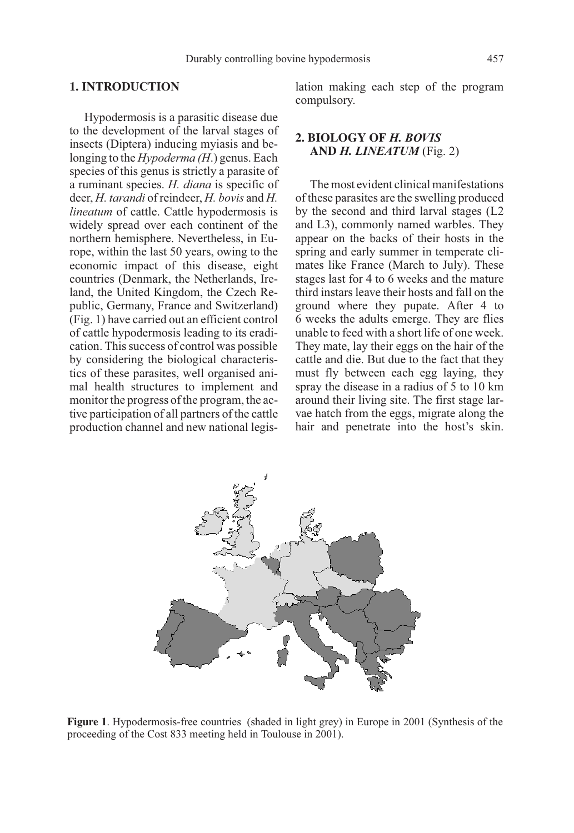## **1. INTRODUCTION**

Hypodermosis is a parasitic disease due to the development of the larval stages of insects (Diptera) inducing myiasis and belonging to the *Hypoderma (H.)* genus. Each species of this genus is strictly a parasite of a ruminant species. H. diana is specific of deer, H. tarandi of reindeer, H. bovis and H. lineatum of cattle. Cattle hypodermosis is widely spread over each continent of the northern hemisphere. Nevertheless, in Europe, within the last 50 years, owing to the economic impact of this disease, eight countries (Denmark, the Netherlands, Ireland, the United Kingdom, the Czech Republic, Germany, France and Switzerland) (Fig. 1) have carried out an efficient control of cattle hypodermosis leading to its eradication. This success of control was possible by considering the biological characteristics of these parasites, well organised animal health structures to implement and monitor the progress of the program, the active participation of all partners of the cattle production channel and new national legislation making each step of the program compulsory.

# **2. BIOLOGY OF** H. BOVIS **AND** H. LINEATUM (Fig. 2)

The most evident clinical manifestations of these parasites are the swelling produced by the second and third larval stages (L2 and L3), commonly named warbles. They appear on the backs of their hosts in the spring and early summer in temperate climates like France (March to July). These stages last for 4 to 6 weeks and the mature third instars leave their hosts and fall on the ground where they pupate. After 4 to 6 weeks the adults emerge. They are flies unable to feed with a short life of one week. They mate, lay their eggs on the hair of the cattle and die. But due to the fact that they must fly between each egg laying, they spray the disease in a radius of 5 to 10 km around their living site. The first stage larvae hatch from the eggs, migrate along the hair and penetrate into the host's skin.



**Figure 1**. Hypodermosis-free countries (shaded in light grey) in Europe in 2001 (Synthesis of the proceeding of the Cost 833 meeting held in Toulouse in 2001).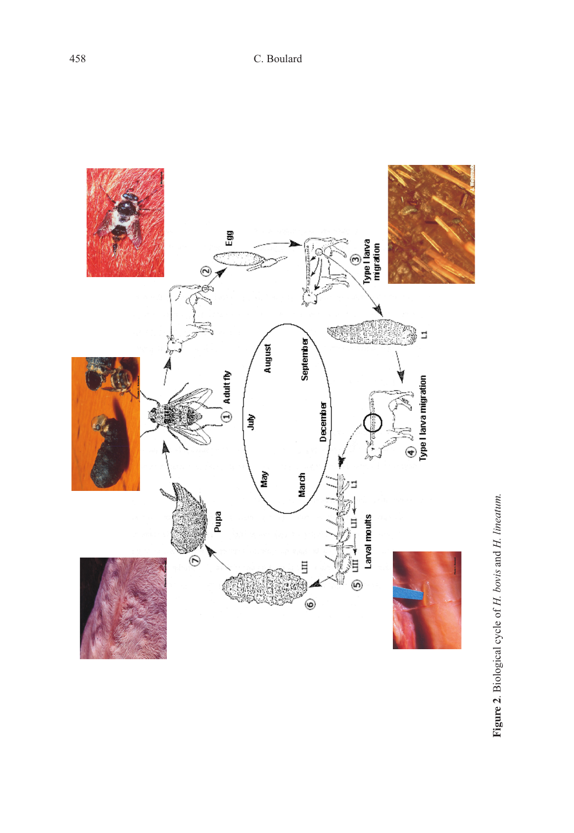

Figure 2. Biological cycle of H. bovis and H. lineatum. **Figure 2**. Biological cycle of H. bovis and H. lineatum.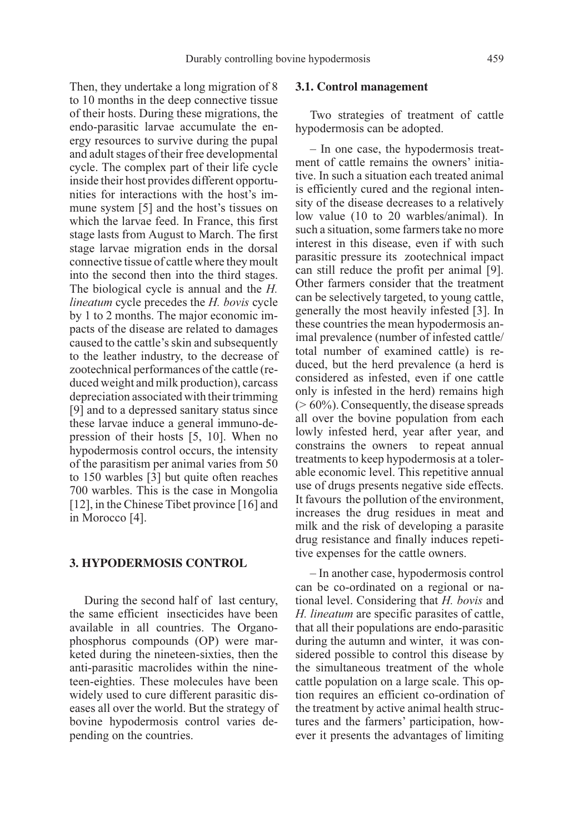Then, they undertake a long migration of 8 to 10 months in the deep connective tissue of their hosts. During these migrations, the endo-parasitic larvae accumulate the energy resources to survive during the pupal and adult stages of their free developmental cycle. The complex part of their life cycle inside their host provides different opportunities for interactions with the host's immune system [5] and the host's tissues on which the larvae feed. In France, this first stage lasts from August to March. The first stage larvae migration ends in the dorsal connective tissue of cattle where they moult into the second then into the third stages. The biological cycle is annual and the H. lineatum cycle precedes the H. bovis cycle by 1 to 2 months. The major economic impacts of the disease are related to damages caused to the cattle's skin and subsequently to the leather industry, to the decrease of zootechnical performances of the cattle (reduced weight and milk production), carcass depreciation associated with their trimming [9] and to a depressed sanitary status since these larvae induce a general immuno-depression of their hosts [5, 10]. When no hypodermosis control occurs, the intensity of the parasitism per animal varies from 50 to 150 warbles [3] but quite often reaches 700 warbles. This is the case in Mongolia [12], in the Chinese Tibet province [16] and in Morocco [4].

#### **3. HYPODERMOSIS CONTROL**

During the second half of last century, the same efficient insecticides have been available in all countries. The Organophosphorus compounds (OP) were marketed during the nineteen-sixties, then the anti-parasitic macrolides within the nineteen-eighties. These molecules have been widely used to cure different parasitic diseases all over the world. But the strategy of bovine hypodermosis control varies depending on the countries.

#### **3.1. Control management**

Two strategies of treatment of cattle hypodermosis can be adopted.

– In one case, the hypodermosis treatment of cattle remains the owners' initiative. In such a situation each treated animal is efficiently cured and the regional intensity of the disease decreases to a relatively low value (10 to 20 warbles/animal). In such a situation, some farmers take no more interest in this disease, even if with such parasitic pressure its zootechnical impact can still reduce the profit per animal [9]. Other farmers consider that the treatment can be selectively targeted, to young cattle, generally the most heavily infested [3]. In these countries the mean hypodermosis animal prevalence (number of infested cattle/ total number of examined cattle) is reduced, but the herd prevalence (a herd is considered as infested, even if one cattle only is infested in the herd) remains high (> 60%). Consequently, the disease spreads all over the bovine population from each lowly infested herd, year after year, and constrains the owners to repeat annual treatments to keep hypodermosis at a tolerable economic level. This repetitive annual use of drugs presents negative side effects. It favours the pollution of the environment, increases the drug residues in meat and milk and the risk of developing a parasite drug resistance and finally induces repetitive expenses for the cattle owners.

– In another case, hypodermosis control can be co-ordinated on a regional or national level. Considering that H. bovis and H. lineatum are specific parasites of cattle, that all their populations are endo-parasitic during the autumn and winter, it was considered possible to control this disease by the simultaneous treatment of the whole cattle population on a large scale. This option requires an efficient co-ordination of the treatment by active animal health structures and the farmers' participation, however it presents the advantages of limiting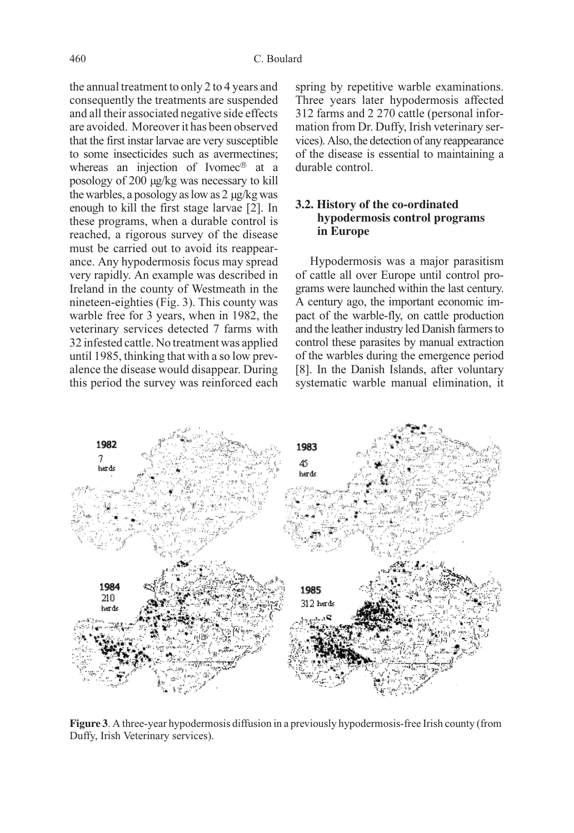the annual treatment to only 2 to 4 years and consequently the treatments are suspended and all their associated negative side effects are avoided. Moreover it has been observed that the first instar larvae are very susceptible to some insecticides such as avermectines; whereas an injection of Ivomec $\mathscr P$  at a posology of 200 µg/kg was necessary to kill the warbles, a posology as low as 2 µg/kg was enough to kill the first stage larvae [2]. In these programs, when a durable control is reached, a rigorous survey of the disease must be carried out to avoid its reappearance. Any hypodermosis focus may spread very rapidly. An example was described in Ireland in the county of Westmeath in the nineteen-eighties (Fig. 3). This county was warble free for 3 years, when in 1982, the veterinary services detected 7 farms with 32 infested cattle. No treatment was applied until 1985, thinking that with a so low prevalence the disease would disappear. During this period the survey was reinforced each spring by repetitive warble examinations. Three years later hypodermosis affected 312 farms and 2 270 cattle (personal information from Dr. Duffy, Irish veterinary services). Also, the detection of any reappearance of the disease is essential to maintaining a durable control.

## **3.2. History of the co-ordinated hypodermosis control programs in Europe**

Hypodermosis was a major parasitism of cattle all over Europe until control programs were launched within the last century. A century ago, the important economic impact of the warble-fly, on cattle production and the leather industry led Danish farmers to control these parasites by manual extraction of the warbles during the emergence period [8]. In the Danish Islands, after voluntary systematic warble manual elimination, it



**Figure 3**. A three-year hypodermosis diffusion in a previously hypodermosis-free Irish county (from Duffy, Irish Veterinary services).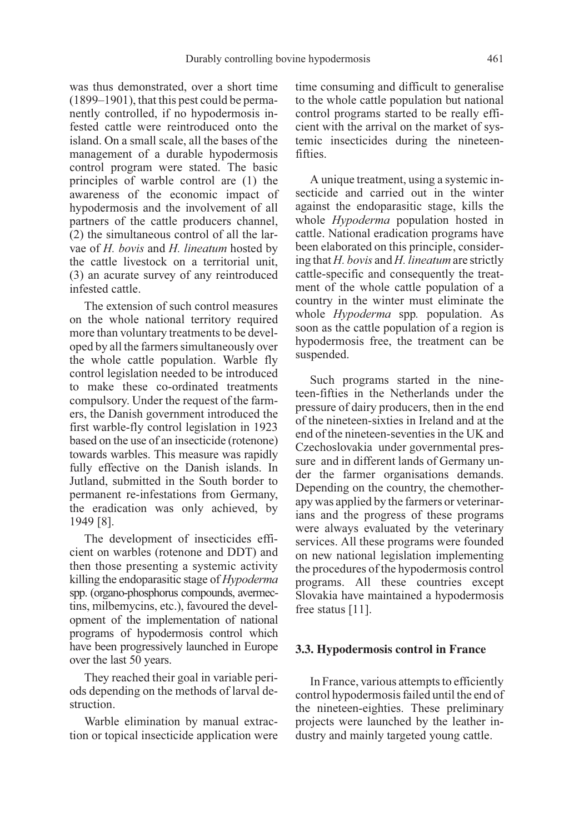was thus demonstrated, over a short time (1899–1901), that this pest could be permanently controlled, if no hypodermosis infested cattle were reintroduced onto the island. On a small scale, all the bases of the management of a durable hypodermosis control program were stated. The basic principles of warble control are (1) the awareness of the economic impact of hypodermosis and the involvement of all partners of the cattle producers channel, (2) the simultaneous control of all the larvae of H. bovis and H. lineatum hosted by the cattle livestock on a territorial unit, (3) an acurate survey of any reintroduced infested cattle.

The extension of such control measures on the whole national territory required more than voluntary treatments to be developed by all the farmers simultaneously over the whole cattle population. Warble fly control legislation needed to be introduced to make these co-ordinated treatments compulsory. Under the request of the farmers, the Danish government introduced the first warble-fly control legislation in 1923 based on the use of an insecticide (rotenone) towards warbles. This measure was rapidly fully effective on the Danish islands. In Jutland, submitted in the South border to permanent re-infestations from Germany, the eradication was only achieved, by 1949 [8].

The development of insecticides efficient on warbles (rotenone and DDT) and then those presenting a systemic activity killing the endoparasitic stage of Hypoderma spp. (organo-phosphorus compounds, avermectins, milbemycins, etc.), favoured the development of the implementation of national programs of hypodermosis control which have been progressively launched in Europe over the last 50 years.

They reached their goal in variable periods depending on the methods of larval destruction.

Warble elimination by manual extraction or topical insecticide application were time consuming and difficult to generalise to the whole cattle population but national control programs started to be really efficient with the arrival on the market of systemic insecticides during the nineteenfifties.

A unique treatment, using a systemic insecticide and carried out in the winter against the endoparasitic stage, kills the whole *Hypoderma* population hosted in cattle. National eradication programs have been elaborated on this principle, considering that  $H$ , bovis and  $H$ , lineatum are strictly cattle-specific and consequently the treatment of the whole cattle population of a country in the winter must eliminate the whole *Hypoderma* spp. population. As soon as the cattle population of a region is hypodermosis free, the treatment can be suspended.

Such programs started in the nineteen-fifties in the Netherlands under the pressure of dairy producers, then in the end of the nineteen-sixties in Ireland and at the end of the nineteen-seventies in the UK and Czechoslovakia under governmental pressure and in different lands of Germany under the farmer organisations demands. Depending on the country, the chemotherapy was applied by the farmers or veterinarians and the progress of these programs were always evaluated by the veterinary services. All these programs were founded on new national legislation implementing the procedures of the hypodermosis control programs. All these countries except Slovakia have maintained a hypodermosis free status [11].

### **3.3. Hypodermosis control in France**

In France, various attempts to efficiently control hypodermosis failed until the end of the nineteen-eighties. These preliminary projects were launched by the leather industry and mainly targeted young cattle.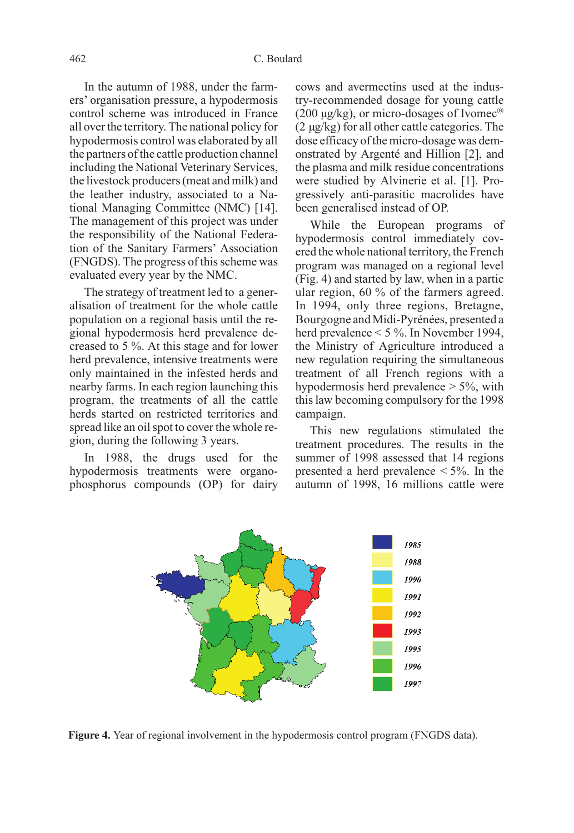In the autumn of 1988, under the farmers' organisation pressure, a hypodermosis control scheme was introduced in France all over the territory. The national policy for hypodermosis control was elaborated by all the partners of the cattle production channel including the National Veterinary Services, the livestock producers (meat and milk) and the leather industry, associated to a National Managing Committee (NMC) [14]. The management of this project was under the responsibility of the National Federation of the Sanitary Farmers' Association (FNGDS). The progress of this scheme was evaluated every year by the NMC.

The strategy of treatment led to a generalisation of treatment for the whole cattle population on a regional basis until the regional hypodermosis herd prevalence decreased to 5 %. At this stage and for lower herd prevalence, intensive treatments were only maintained in the infested herds and nearby farms. In each region launching this program, the treatments of all the cattle herds started on restricted territories and spread like an oil spot to cover the whole region, during the following 3 years.

In 1988, the drugs used for the hypodermosis treatments were organophosphorus compounds (OP) for dairy cows and avermectins used at the industry-recommended dosage for young cattle (200  $\mu$ g/kg), or micro-dosages of Ivomec<sup>®</sup> (2 µg/kg) for all other cattle categories. The dose efficacy of the micro-dosage was demonstrated by Argenté and Hillion [2], and the plasma and milk residue concentrations were studied by Alvinerie et al. [1]. Progressively anti-parasitic macrolides have been generalised instead of OP.

While the European programs of hypodermosis control immediately covered the whole national territory, the French program was managed on a regional level (Fig. 4) and started by law, when in a partic ular region, 60 % of the farmers agreed. In 1994, only three regions, Bretagne, Bourgogne and Midi-Pyrénées, presented a herd prevalence < 5 %. In November 1994, the Ministry of Agriculture introduced a new regulation requiring the simultaneous treatment of all French regions with a hypodermosis herd prevalence  $> 5\%$ , with this law becoming compulsory for the 1998 campaign.

This new regulations stimulated the treatment procedures. The results in the summer of 1998 assessed that 14 regions presented a herd prevalence  $\leq 5\%$ . In the autumn of 1998, 16 millions cattle were



**Figure 4.** Year of regional involvement in the hypodermosis control program (FNGDS data).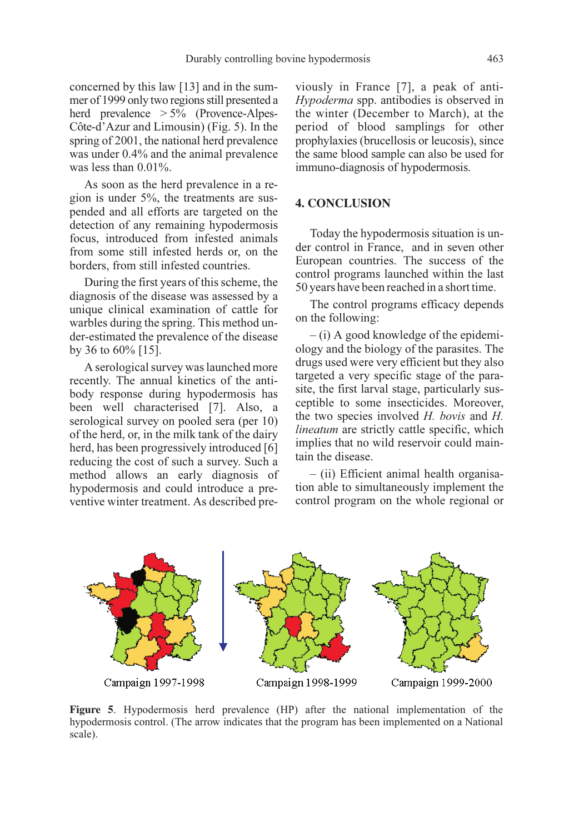concerned by this law [13] and in the summer of 1999 only two regions still presented a herd prevalence > 5% (Provence-Alpes-Côte-d'Azur and Limousin) (Fig. 5). In the spring of 2001, the national herd prevalence was under 0.4% and the animal prevalence was less than 0.01%.

As soon as the herd prevalence in a region is under 5%, the treatments are suspended and all efforts are targeted on the detection of any remaining hypodermosis focus, introduced from infested animals from some still infested herds or, on the borders, from still infested countries.

During the first years of this scheme, the diagnosis of the disease was assessed by a unique clinical examination of cattle for warbles during the spring. This method under-estimated the prevalence of the disease by 36 to 60% [15].

A serological survey was launched more recently. The annual kinetics of the antibody response during hypodermosis has been well characterised [7]. Also, a serological survey on pooled sera (per 10) of the herd, or, in the milk tank of the dairy herd, has been progressively introduced [6] reducing the cost of such a survey. Such a method allows an early diagnosis of hypodermosis and could introduce a preventive winter treatment. As described previously in France [7], a peak of anti-Hypoderma spp. antibodies is observed in the winter (December to March), at the period of blood samplings for other prophylaxies (brucellosis or leucosis), since the same blood sample can also be used for immuno-diagnosis of hypodermosis.

# **4. CONCLUSION**

Today the hypodermosis situation is under control in France, and in seven other European countries. The success of the control programs launched within the last 50 years have been reached in a short time.

The control programs efficacy depends on the following:

– (i) A good knowledge of the epidemiology and the biology of the parasites. The drugs used were very efficient but they also targeted a very specific stage of the parasite, the first larval stage, particularly susceptible to some insecticides. Moreover, the two species involved H. bovis and H. lineatum are strictly cattle specific, which implies that no wild reservoir could maintain the disease.

– (ii) Efficient animal health organisation able to simultaneously implement the control program on the whole regional or



**Figure 5**. Hypodermosis herd prevalence (HP) after the national implementation of the hypodermosis control. (The arrow indicates that the program has been implemented on a National scale).